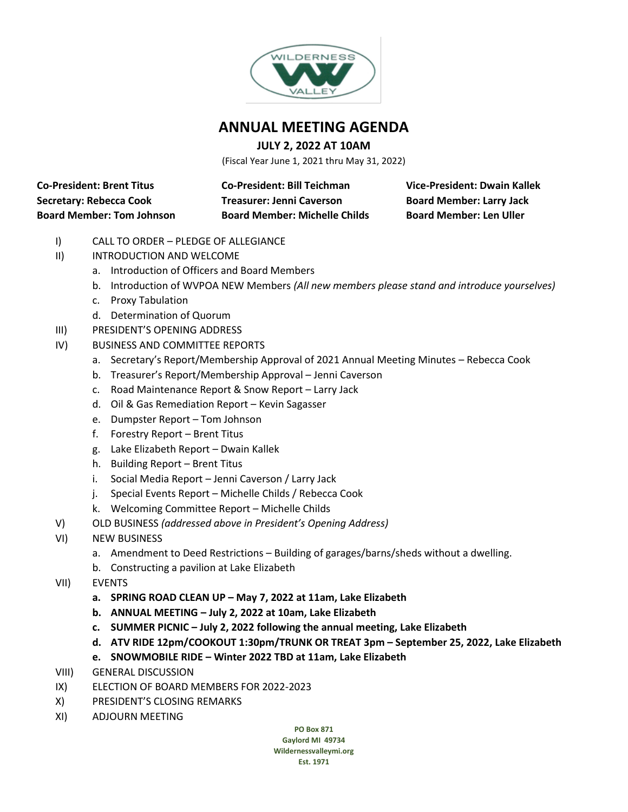

### **ANNUAL MEETING AGENDA**

### **JULY 2, 2022 AT 10AM**

(Fiscal Year June 1, 2021 thru May 31, 2022)

**Co-President: Brent Titus Co-President: Bill Teichman Vice-President: Dwain Kallek**

**Secretary: Rebecca Cook Treasurer: Jenni Caverson Board Member: Larry Jack Board Member: Tom Johnson Board Member: Michelle Childs Board Member: Len Uller**

- I) CALL TO ORDER PLEDGE OF ALLEGIANCE
- II) INTRODUCTION AND WELCOME
	- a. Introduction of Officers and Board Members
	- b. Introduction of WVPOA NEW Members *(All new members please stand and introduce yourselves)*
	- c. Proxy Tabulation
	- d. Determination of Quorum
- III) PRESIDENT'S OPENING ADDRESS
- IV) BUSINESS AND COMMITTEE REPORTS
	- a. Secretary's Report/Membership Approval of 2021 Annual Meeting Minutes Rebecca Cook
	- b. Treasurer's Report/Membership Approval Jenni Caverson
	- c. Road Maintenance Report & Snow Report Larry Jack
	- d. Oil & Gas Remediation Report Kevin Sagasser
	- e. Dumpster Report Tom Johnson
	- f. Forestry Report Brent Titus
	- g. Lake Elizabeth Report Dwain Kallek
	- h. Building Report Brent Titus
	- i. Social Media Report Jenni Caverson / Larry Jack
	- j. Special Events Report Michelle Childs / Rebecca Cook
	- k. Welcoming Committee Report Michelle Childs
- V) OLD BUSINESS *(addressed above in President's Opening Address)*
- VI) NEW BUSINESS
	- a. Amendment to Deed Restrictions Building of garages/barns/sheds without a dwelling.
	- b. Constructing a pavilion at Lake Elizabeth
- VII) EVENTS
	- **a. SPRING ROAD CLEAN UP – May 7, 2022 at 11am, Lake Elizabeth**
	- **b. ANNUAL MEETING – July 2, 2022 at 10am, Lake Elizabeth**
	- **c. SUMMER PICNIC – July 2, 2022 following the annual meeting, Lake Elizabeth**
	- **d. ATV RIDE 12pm/COOKOUT 1:30pm/TRUNK OR TREAT 3pm – September 25, 2022, Lake Elizabeth**
	- **e. SNOWMOBILE RIDE – Winter 2022 TBD at 11am, Lake Elizabeth**
- VIII) GENERAL DISCUSSION
- IX) ELECTION OF BOARD MEMBERS FOR 2022-2023
- X) PRESIDENT'S CLOSING REMARKS
- XI) ADJOURN MEETING

**PO Box 871 Gaylord MI 49734 Wildernessvalleymi.org Est. 1971**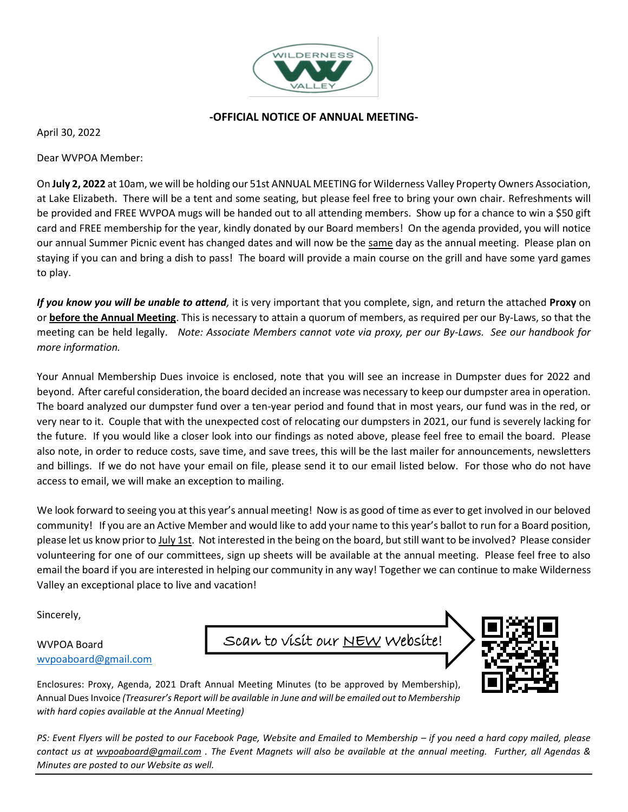

#### **-OFFICIAL NOTICE OF ANNUAL MEETING-**

April 30, 2022

Dear WVPOA Member:

On **July 2, 2022** at 10am, we will be holding our 51st ANNUAL MEETING for Wilderness Valley Property Owners Association, at Lake Elizabeth. There will be a tent and some seating, but please feel free to bring your own chair. Refreshments will be provided and FREE WVPOA mugs will be handed out to all attending members. Show up for a chance to win a \$50 gift card and FREE membership for the year, kindly donated by our Board members! On the agenda provided, you will notice our annual Summer Picnic event has changed dates and will now be the same day as the annual meeting. Please plan on staying if you can and bring a dish to pass! The board will provide a main course on the grill and have some yard games to play.

*If you know you will be unable to attend,* it is very important that you complete, sign, and return the attached **Proxy** on or **before the Annual Meeting**. This is necessary to attain a quorum of members, as required per our By-Laws, so that the meeting can be held legally. *Note: Associate Members cannot vote via proxy, per our By-Laws. See our handbook for more information.*

Your Annual Membership Dues invoice is enclosed, note that you will see an increase in Dumpster dues for 2022 and beyond. After careful consideration, the board decided an increase was necessary to keep our dumpster area in operation. The board analyzed our dumpster fund over a ten-year period and found that in most years, our fund was in the red, or very near to it. Couple that with the unexpected cost of relocating our dumpsters in 2021, our fund is severely lacking for the future. If you would like a closer look into our findings as noted above, please feel free to email the board. Please also note, in order to reduce costs, save time, and save trees, this will be the last mailer for announcements, newsletters and billings. If we do not have your email on file, please send it to our email listed below. For those who do not have access to email, we will make an exception to mailing.

We look forward to seeing you at this year's annual meeting! Now is as good of time as ever to get involved in our beloved community! If you are an Active Member and would like to add your name to this year's ballot to run for a Board position, please let us know prior to July 1st. Not interested in the being on the board, but still want to be involved? Please consider volunteering for one of our committees, sign up sheets will be available at the annual meeting. Please feel free to also email the board if you are interested in helping our community in any way! Together we can continue to make Wilderness Valley an exceptional place to live and vacation!

Sincerely,

#### WVPOA Board [wvpoaboard@gmail.com](mailto:wvpoaboard@gmail.com)





Enclosures: Proxy, Agenda, 2021 Draft Annual Meeting Minutes (to be approved by Membership), Annual Dues Invoice *(Treasurer's Report will be available in June and will be emailed out to Membership with hard copies available at the Annual Meeting)*

*PS: Event Flyers will be posted to our Facebook Page, Website and Emailed to Membership – if you need a hard copy mailed, please contact us at [wvpoaboard@gmail.com](mailto:wvpoaboard@gmail.com) . The Event Magnets will also be available at the annual meeting. Further, all Agendas & Minutes are posted to our Website as well.*